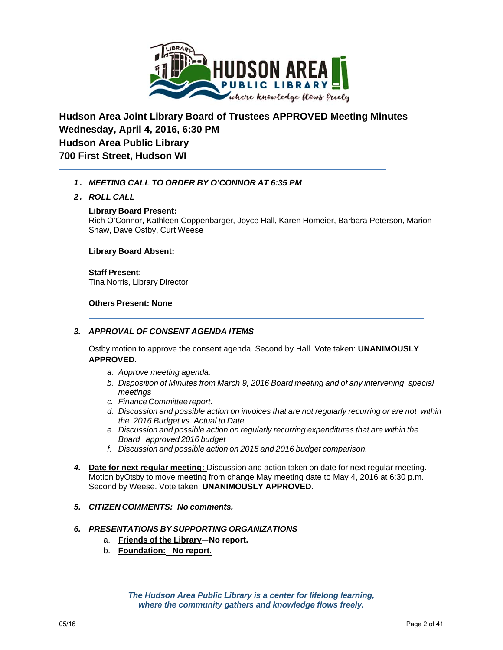

# **Hudson Area Joint Library Board of Trustees APPROVED Meeting Minutes Wednesday, April 4, 2016, 6:30 PM Hudson Area Public Library 700 First Street, Hudson WI**

# *1. MEETING CALL TO ORDER BY O'CONNOR AT 6:35 PM*

## *2. ROLL CALL*

#### **Library Board Present:**

Rich O'Connor, Kathleen Coppenbarger, Joyce Hall, Karen Homeier, Barbara Peterson, Marion Shaw, Dave Ostby, Curt Weese

#### **Library Board Absent:**

**Staff Present:** Tina Norris, Library Director

#### **Others Present: None**

# *3. APPROVAL OF CONSENT AGENDA ITEMS*

Ostby motion to approve the consent agenda. Second by Hall. Vote taken: **UNANIMOUSLY APPROVED.**

- *a. Approve meeting agenda.*
- *b. Disposition of Minutes from March 9, 2016 Board meeting and of any intervening special meetings*
- *c. Finance Committee report.*
- *d. Discussion and possible action on invoices that are not regularly recurring or are not within the 2016 Budget vs. Actual to Date*
- *e. Discussion and possible action on regularly recurring expenditures that are within the Board approved 2016 budget*
- *f. Discussion and possible action on 2015 and 2016 budget comparison.*
- *4.* **Date for next regular meeting:** Discussion and action taken on date for next regular meeting. Motion byOtsby to move meeting from change May meeting date to May 4, 2016 at 6:30 p.m. Second by Weese. Vote taken: **UNANIMOUSLY APPROVED**.
- *5. CITIZEN COMMENTS: No comments.*

## *6. PRESENTATIONS BY SUPPORTING ORGANIZATIONS*

- a. **Friends of the Library—No report.**
- b. **Foundation: No report.**

*The Hudson Area Public Library is a center for lifelong learning, where the community gathers and knowledge flows freely.*